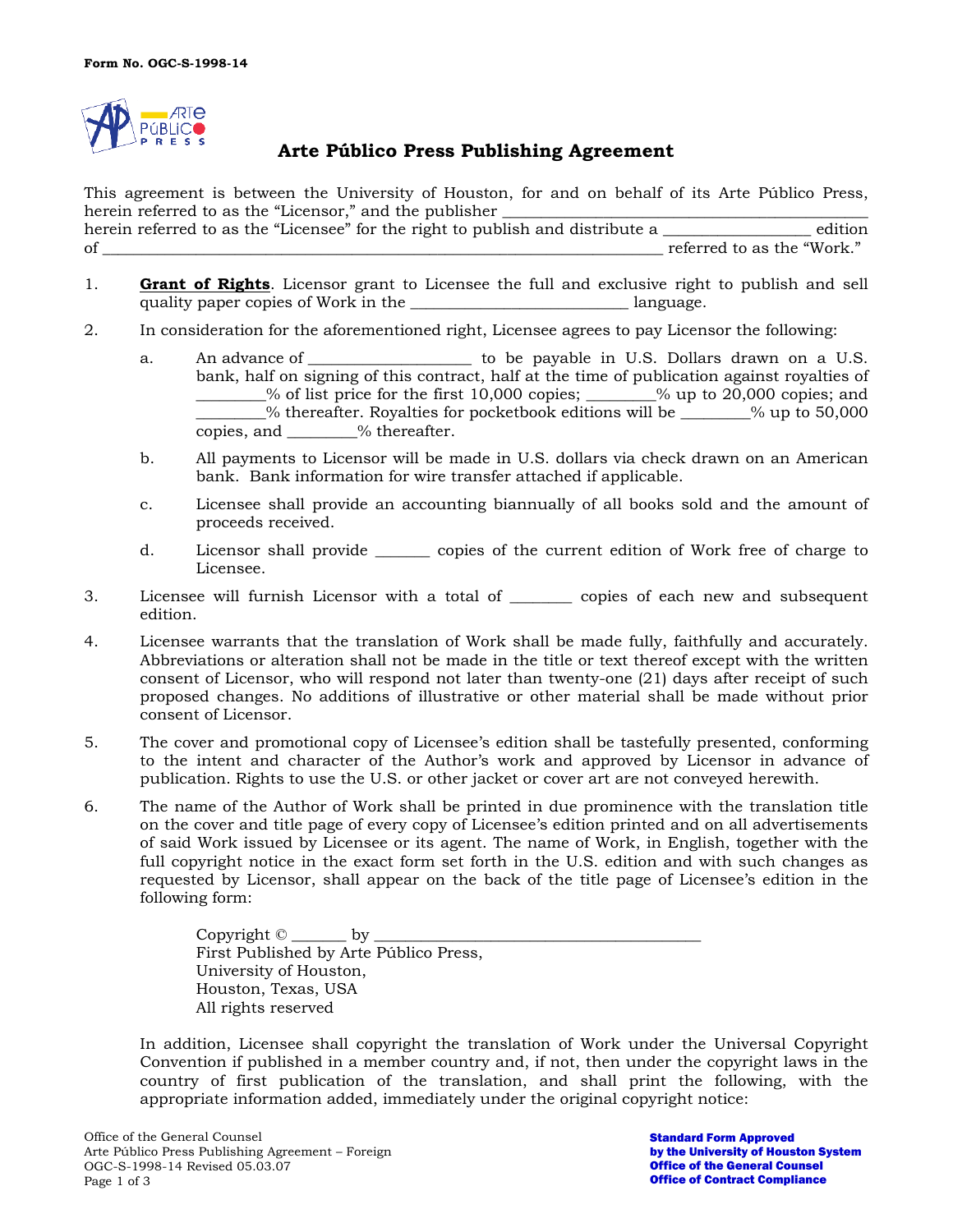

## **Arte Público Press Publishing Agreement**

This agreement is between the University of Houston, for and on behalf of its Arte Público Press, herein referred to as the "Licensor," and the publisher \_\_\_\_\_\_\_\_\_\_\_\_\_\_\_\_\_\_\_\_\_\_\_\_\_\_\_\_\_\_\_\_\_\_\_\_\_\_\_\_\_\_\_\_\_\_\_

herein referred to as the "Licensee" for the right to publish and distribute a \_\_\_\_\_\_\_\_\_\_\_\_\_\_\_\_\_\_\_ edition of the contraction of the contraction of the state of the state of the state of the state of the state of the  $\frac{1}{2}$ 

- 1. **Grant of Rights**. Licensor grant to Licensee the full and exclusive right to publish and sell quality paper copies of Work in the  $\Box$  language.
- 2. In consideration for the aforementioned right, Licensee agrees to pay Licensor the following:
	- a. An advance of \_\_\_\_\_\_\_\_\_\_\_\_\_\_\_\_\_\_\_\_\_\_ to be payable in U.S. Dollars drawn on a U.S. bank, half on signing of this contract, half at the time of publication against royalties of  $\frac{1}{2}$ % of list price for the first 10,000 copies;  $\frac{1}{2}$ % up to 20,000 copies; and  $%$  thereafter. Royalties for pocketbook editions will be  $\sim$  % up to 50,000 copies, and \_\_\_\_\_\_\_\_\_% thereafter.
	- b. All payments to Licensor will be made in U.S. dollars via check drawn on an American bank. Bank information for wire transfer attached if applicable.
	- c. Licensee shall provide an accounting biannually of all books sold and the amount of proceeds received.
	- d. Licensor shall provide \_\_\_\_\_\_\_ copies of the current edition of Work free of charge to Licensee.
- 3. Licensee will furnish Licensor with a total of \_\_\_\_\_\_\_\_ copies of each new and subsequent edition.
- 4. Licensee warrants that the translation of Work shall be made fully, faithfully and accurately. Abbreviations or alteration shall not be made in the title or text thereof except with the written consent of Licensor, who will respond not later than twenty-one (21) days after receipt of such proposed changes. No additions of illustrative or other material shall be made without prior consent of Licensor.
- 5. The cover and promotional copy of Licensee's edition shall be tastefully presented, conforming to the intent and character of the Author's work and approved by Licensor in advance of publication. Rights to use the U.S. or other jacket or cover art are not conveyed herewith.
- 6. The name of the Author of Work shall be printed in due prominence with the translation title on the cover and title page of every copy of Licensee's edition printed and on all advertisements of said Work issued by Licensee or its agent. The name of Work, in English, together with the full copyright notice in the exact form set forth in the U.S. edition and with such changes as requested by Licensor, shall appear on the back of the title page of Licensee's edition in the following form:

Copyright © \_\_\_\_\_\_\_ by \_\_\_\_\_\_\_\_\_\_\_\_\_\_\_\_\_\_\_\_\_\_\_\_\_\_\_\_\_\_\_\_\_\_\_\_\_\_\_\_\_\_ First Published by Arte Público Press, University of Houston, Houston, Texas, USA All rights reserved

In addition, Licensee shall copyright the translation of Work under the Universal Copyright Convention if published in a member country and, if not, then under the copyright laws in the country of first publication of the translation, and shall print the following, with the appropriate information added, immediately under the original copyright notice:

Standard Form Approved by the University of Houston System Office of the General Counsel Office of Contract Compliance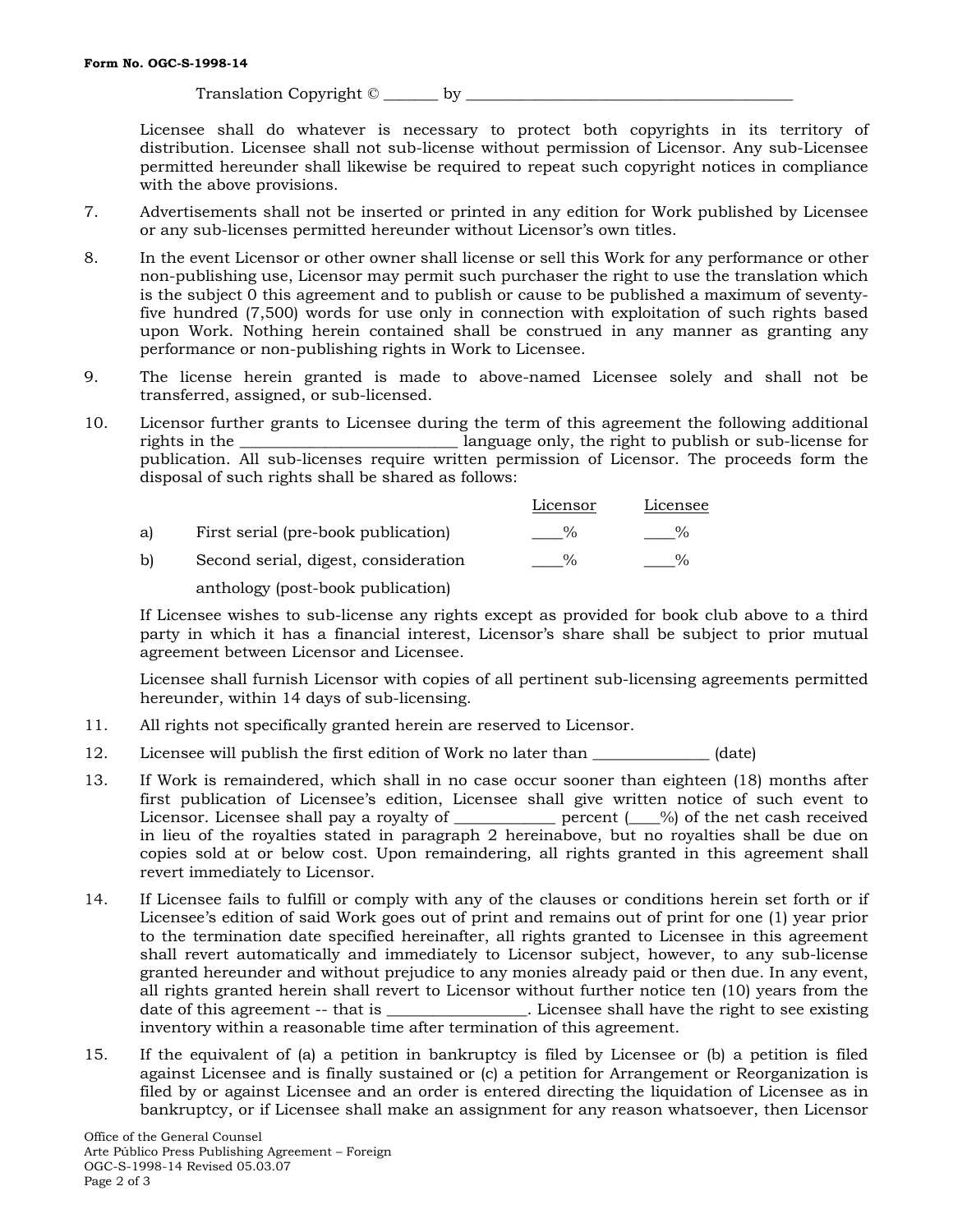Translation Copyright © Letter by

Licensee shall do whatever is necessary to protect both copyrights in its territory of distribution. Licensee shall not sub-license without permission of Licensor. Any sub-Licensee permitted hereunder shall likewise be required to repeat such copyright notices in compliance with the above provisions.

- 7. Advertisements shall not be inserted or printed in any edition for Work published by Licensee or any sub-licenses permitted hereunder without Licensor's own titles.
- 8. In the event Licensor or other owner shall license or sell this Work for any performance or other non-publishing use, Licensor may permit such purchaser the right to use the translation which is the subject 0 this agreement and to publish or cause to be published a maximum of seventyfive hundred (7,500) words for use only in connection with exploitation of such rights based upon Work. Nothing herein contained shall be construed in any manner as granting any performance or non-publishing rights in Work to Licensee.
- 9. The license herein granted is made to above-named Licensee solely and shall not be transferred, assigned, or sub-licensed.
- 10. Licensor further grants to Licensee during the term of this agreement the following additional rights in the <u>equal container all anguage only</u>, the right to publish or sub-license for publication. All sub-licenses require written permission of Licensor. The proceeds form the disposal of such rights shall be shared as follows:

|    |                                      | Licensor      | Licensee |
|----|--------------------------------------|---------------|----------|
| a) | First serial (pre-book publication)  | $\frac{0}{2}$ |          |
| b) | Second serial, digest, consideration | $\frac{9}{6}$ |          |
|    | anthology (post-book publication)    |               |          |

If Licensee wishes to sub-license any rights except as provided for book club above to a third party in which it has a financial interest, Licensor's share shall be subject to prior mutual agreement between Licensor and Licensee.

Licensee shall furnish Licensor with copies of all pertinent sub-licensing agreements permitted hereunder, within 14 days of sub-licensing.

- 11. All rights not specifically granted herein are reserved to Licensor.
- 12. Licensee will publish the first edition of Work no later than \_\_\_\_\_\_\_\_\_\_\_\_\_\_ (date)
- 13. If Work is remaindered, which shall in no case occur sooner than eighteen (18) months after first publication of Licensee's edition, Licensee shall give written notice of such event to Licensor. Licensee shall pay a royalty of \_\_\_\_\_\_\_\_\_\_\_\_ percent ( $\_\%$ ) of the net cash received in lieu of the royalties stated in paragraph 2 hereinabove, but no royalties shall be due on copies sold at or below cost. Upon remaindering, all rights granted in this agreement shall revert immediately to Licensor.
- 14. If Licensee fails to fulfill or comply with any of the clauses or conditions herein set forth or if Licensee's edition of said Work goes out of print and remains out of print for one (1) year prior to the termination date specified hereinafter, all rights granted to Licensee in this agreement shall revert automatically and immediately to Licensor subject, however, to any sub-license granted hereunder and without prejudice to any monies already paid or then due. In any event, all rights granted herein shall revert to Licensor without further notice ten (10) years from the date of this agreement -- that is \_\_\_\_\_\_\_\_\_\_\_\_\_\_\_\_. Licensee shall have the right to see existing inventory within a reasonable time after termination of this agreement.
- 15. If the equivalent of (a) a petition in bankruptcy is filed by Licensee or (b) a petition is filed against Licensee and is finally sustained or (c) a petition for Arrangement or Reorganization is filed by or against Licensee and an order is entered directing the liquidation of Licensee as in bankruptcy, or if Licensee shall make an assignment for any reason whatsoever, then Licensor